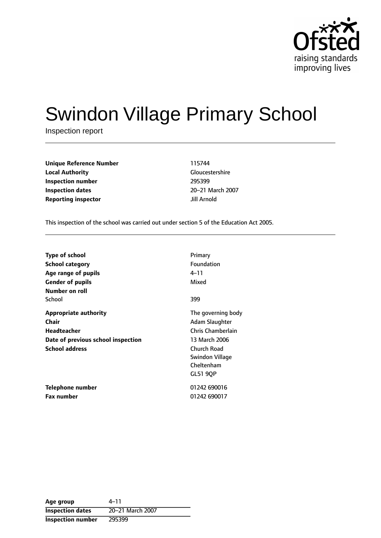

# Swindon Village Primary School

Inspection report

| <b>Unique Reference Number</b> | 115744      |
|--------------------------------|-------------|
| <b>Local Authority</b>         | Gloucester  |
| Inspection number              | 295399      |
| <b>Inspection dates</b>        | 20-21 Mar   |
| <b>Reporting inspector</b>     | Jill Arnold |

**Gloucestershire Inspection dates** 2021 March 2007

This inspection of the school was carried out under section 5 of the Education Act 2005.

| <b>Type of school</b><br><b>School category</b><br>Age range of pupils<br><b>Gender of pupils</b>                   | Primary<br>Foundation<br>4–11<br>Mixed                                                                                                 |
|---------------------------------------------------------------------------------------------------------------------|----------------------------------------------------------------------------------------------------------------------------------------|
| Number on roll<br>School                                                                                            | 399                                                                                                                                    |
| <b>Appropriate authority</b><br>Chair<br>Headteacher<br>Date of previous school inspection<br><b>School address</b> | The governing body<br>Adam Slaughter<br>Chris Chamberlain<br>13 March 2006<br>Church Road<br>Swindon Village<br>Cheltenham<br>GL51 90P |
| <b>Telephone number</b><br><b>Fax number</b>                                                                        | 01242 690016<br>01242 690017                                                                                                           |
|                                                                                                                     |                                                                                                                                        |

Age group  $4-11$ **Inspection dates** 20-21 March 2007 **Inspection number** 295399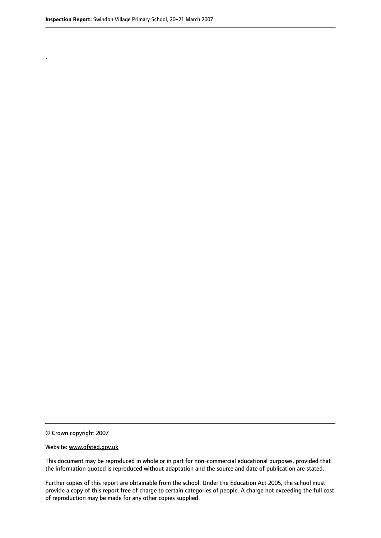.

© Crown copyright 2007

#### Website: www.ofsted.gov.uk

This document may be reproduced in whole or in part for non-commercial educational purposes, provided that the information quoted is reproduced without adaptation and the source and date of publication are stated.

Further copies of this report are obtainable from the school. Under the Education Act 2005, the school must provide a copy of this report free of charge to certain categories of people. A charge not exceeding the full cost of reproduction may be made for any other copies supplied.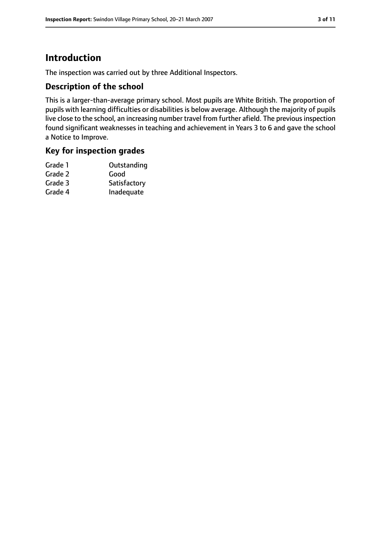# **Introduction**

The inspection was carried out by three Additional Inspectors.

## **Description of the school**

This is a larger-than-average primary school. Most pupils are White British. The proportion of pupils with learning difficulties or disabilities is below average. Although the majority of pupils live close to the school, an increasing number travel from further afield. The previous inspection found significant weaknesses in teaching and achievement in Years 3 to 6 and gave the school a Notice to Improve.

# **Key for inspection grades**

| Grade 1 | Outstanding  |
|---------|--------------|
| Grade 2 | Good         |
| Grade 3 | Satisfactory |
| Grade 4 | Inadequate   |
|         |              |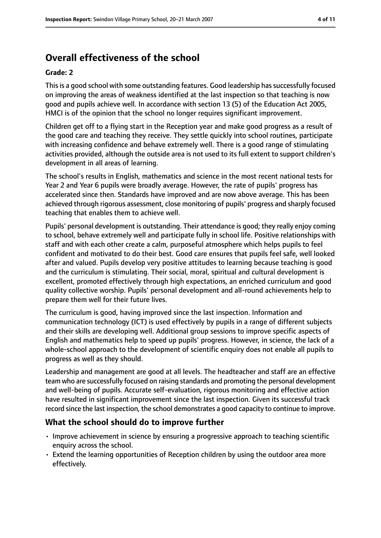# **Overall effectiveness of the school**

#### **Grade: 2**

This is a good school with some outstanding features. Good leadership has successfully focused on improving the areas of weakness identified at the last inspection so that teaching is now good and pupils achieve well. In accordance with section 13 (5) of the Education Act 2005, HMCI is of the opinion that the school no longer requires significant improvement.

Children get off to a flying start in the Reception year and make good progress as a result of the good care and teaching they receive. They settle quickly into school routines, participate with increasing confidence and behave extremely well. There is a good range of stimulating activities provided, although the outside area is not used to its full extent to support children's development in all areas of learning.

The school's results in English, mathematics and science in the most recent national tests for Year 2 and Year 6 pupils were broadly average. However, the rate of pupils' progress has accelerated since then. Standards have improved and are now above average. This has been achieved through rigorous assessment, close monitoring of pupils' progress and sharply focused teaching that enables them to achieve well.

Pupils' personal development is outstanding. Their attendance is good; they really enjoy coming to school, behave extremely well and participate fully in school life. Positive relationships with staff and with each other create a calm, purposeful atmosphere which helps pupils to feel confident and motivated to do their best. Good care ensures that pupils feel safe, well looked after and valued. Pupils develop very positive attitudes to learning because teaching is good and the curriculum is stimulating. Their social, moral, spiritual and cultural development is excellent, promoted effectively through high expectations, an enriched curriculum and good quality collective worship. Pupils' personal development and all-round achievements help to prepare them well for their future lives.

The curriculum is good, having improved since the last inspection. Information and communication technology (ICT) is used effectively by pupils in a range of different subjects and their skills are developing well. Additional group sessions to improve specific aspects of English and mathematics help to speed up pupils' progress. However, in science, the lack of a whole-school approach to the development of scientific enquiry does not enable all pupils to progress as well as they should.

Leadership and management are good at all levels. The headteacher and staff are an effective team who are successfully focused on raising standards and promoting the personal development and well-being of pupils. Accurate self-evaluation, rigorous monitoring and effective action have resulted in significant improvement since the last inspection. Given its successful track record since the last inspection, the school demonstrates a good capacity to continue to improve.

## **What the school should do to improve further**

- Improve achievement in science by ensuring a progressive approach to teaching scientific enquiry across the school.
- Extend the learning opportunities of Reception children by using the outdoor area more effectively.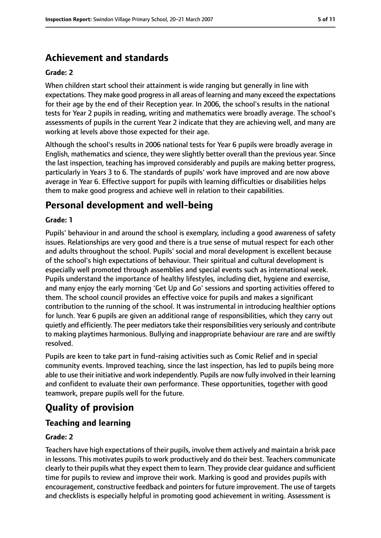# **Achievement and standards**

#### **Grade: 2**

When children start school their attainment is wide ranging but generally in line with expectations. They make good progressin all areas of learning and many exceed the expectations for their age by the end of their Reception year. In 2006, the school's results in the national tests for Year 2 pupils in reading, writing and mathematics were broadly average. The school's assessments of pupils in the current Year 2 indicate that they are achieving well, and many are working at levels above those expected for their age.

Although the school's results in 2006 national tests for Year 6 pupils were broadly average in English, mathematics and science, they were slightly better overall than the previous year. Since the last inspection, teaching has improved considerably and pupils are making better progress, particularly in Years 3 to 6. The standards of pupils' work have improved and are now above average in Year 6. Effective support for pupils with learning difficulties or disabilities helps them to make good progress and achieve well in relation to their capabilities.

# **Personal development and well-being**

#### **Grade: 1**

Pupils' behaviour in and around the school is exemplary, including a good awareness of safety issues. Relationships are very good and there is a true sense of mutual respect for each other and adults throughout the school. Pupils' social and moral development is excellent because of the school's high expectations of behaviour. Their spiritual and cultural development is especially well promoted through assemblies and special events such as international week. Pupils understand the importance of healthy lifestyles, including diet, hygiene and exercise, and many enjoy the early morning 'Get Up and Go' sessions and sporting activities offered to them. The school council provides an effective voice for pupils and makes a significant contribution to the running of the school. It was instrumental in introducing healthier options for lunch. Year 6 pupils are given an additional range of responsibilities, which they carry out quietly and efficiently. The peer mediatorstake their responsibilities very seriously and contribute to making playtimes harmonious. Bullying and inappropriate behaviour are rare and are swiftly resolved.

Pupils are keen to take part in fund-raising activities such as Comic Relief and in special community events. Improved teaching, since the last inspection, has led to pupils being more able to use their initiative and work independently. Pupils are now fully involved in their learning and confident to evaluate their own performance. These opportunities, together with good teamwork, prepare pupils well for the future.

# **Quality of provision**

### **Teaching and learning**

#### **Grade: 2**

Teachers have high expectations of their pupils, involve them actively and maintain a brisk pace in lessons. This motivates pupils to work productively and do their best. Teachers communicate clearly to their pupils what they expect them to learn. They provide clear guidance and sufficient time for pupils to review and improve their work. Marking is good and provides pupils with encouragement, constructive feedback and pointers for future improvement. The use of targets and checklists is especially helpful in promoting good achievement in writing. Assessment is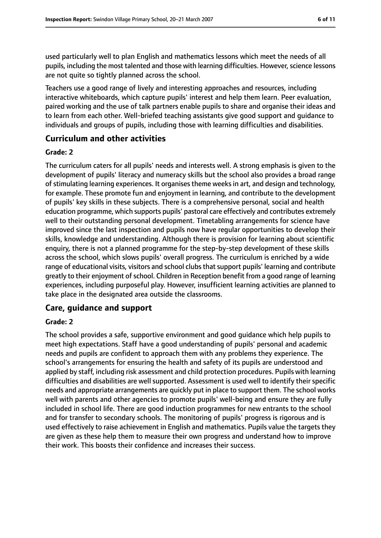used particularly well to plan English and mathematics lessons which meet the needs of all pupils, including the most talented and those with learning difficulties. However, science lessons are not quite so tightly planned across the school.

Teachers use a good range of lively and interesting approaches and resources, including interactive whiteboards, which capture pupils' interest and help them learn. Peer evaluation, paired working and the use of talk partners enable pupils to share and organise their ideas and to learn from each other. Well-briefed teaching assistants give good support and guidance to individuals and groups of pupils, including those with learning difficulties and disabilities.

## **Curriculum and other activities**

#### **Grade: 2**

The curriculum caters for all pupils' needs and interests well. A strong emphasis is given to the development of pupils' literacy and numeracy skills but the school also provides a broad range of stimulating learning experiences. It organises theme weeks in art, and design and technology, for example. These promote fun and enjoyment in learning, and contribute to the development of pupils' key skills in these subjects. There is a comprehensive personal, social and health education programme, which supports pupils' pastoral care effectively and contributes extremely well to their outstanding personal development. Timetabling arrangements for science have improved since the last inspection and pupils now have regular opportunities to develop their skills, knowledge and understanding. Although there is provision for learning about scientific enquiry, there is not a planned programme for the step-by-step development of these skills across the school, which slows pupils' overall progress. The curriculum is enriched by a wide range of educational visits, visitors and school clubs that support pupils' learning and contribute greatly to their enjoyment of school. Children in Reception benefit from a good range of learning experiences, including purposeful play. However, insufficient learning activities are planned to take place in the designated area outside the classrooms.

## **Care, guidance and support**

#### **Grade: 2**

The school provides a safe, supportive environment and good guidance which help pupils to meet high expectations. Staff have a good understanding of pupils' personal and academic needs and pupils are confident to approach them with any problems they experience. The school's arrangements for ensuring the health and safety of its pupils are understood and applied by staff, including risk assessment and child protection procedures. Pupils with learning difficulties and disabilities are well supported. Assessment is used well to identify their specific needs and appropriate arrangements are quickly put in place to support them. The school works well with parents and other agencies to promote pupils' well-being and ensure they are fully included in school life. There are good induction programmes for new entrants to the school and for transfer to secondary schools. The monitoring of pupils' progress is rigorous and is used effectively to raise achievement in English and mathematics. Pupils value the targets they are given as these help them to measure their own progress and understand how to improve their work. This boosts their confidence and increases their success.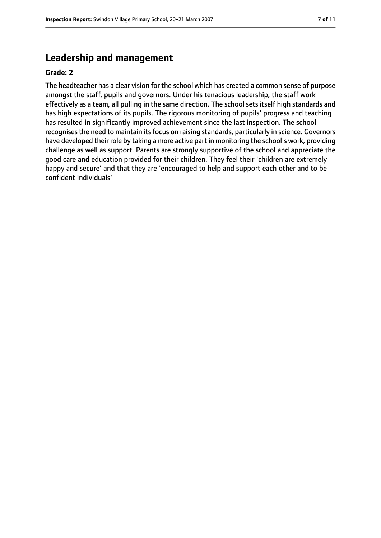# **Leadership and management**

#### **Grade: 2**

The headteacher has a clear vision for the school which has created a common sense of purpose amongst the staff, pupils and governors. Under his tenacious leadership, the staff work effectively as a team, all pulling in the same direction. The school sets itself high standards and has high expectations of its pupils. The rigorous monitoring of pupils' progress and teaching has resulted in significantly improved achievement since the last inspection. The school recognises the need to maintain its focus on raising standards, particularly in science. Governors have developed their role by taking a more active part in monitoring the school's work, providing challenge as well as support. Parents are strongly supportive of the school and appreciate the good care and education provided for their children. They feel their 'children are extremely happy and secure' and that they are 'encouraged to help and support each other and to be confident individuals'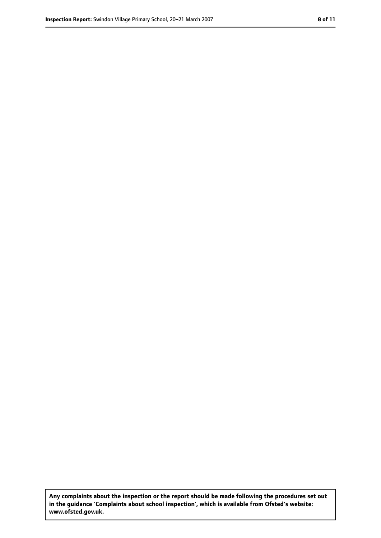**Any complaints about the inspection or the report should be made following the procedures set out in the guidance 'Complaints about school inspection', which is available from Ofsted's website: www.ofsted.gov.uk.**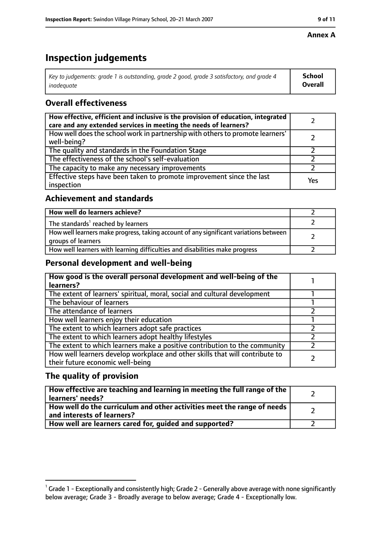#### **Annex A**

# **Inspection judgements**

| Key to judgements: grade 1 is outstanding, grade 2 good, grade 3 satisfactory, and grade 4 | <b>School</b>  |
|--------------------------------------------------------------------------------------------|----------------|
| inadequate                                                                                 | <b>Overall</b> |

## **Overall effectiveness**

| How effective, efficient and inclusive is the provision of education, integrated<br>care and any extended services in meeting the needs of learners? |     |
|------------------------------------------------------------------------------------------------------------------------------------------------------|-----|
| How well does the school work in partnership with others to promote learners'<br>well-being?                                                         |     |
| The quality and standards in the Foundation Stage                                                                                                    |     |
| The effectiveness of the school's self-evaluation                                                                                                    |     |
| The capacity to make any necessary improvements                                                                                                      |     |
| Effective steps have been taken to promote improvement since the last<br>inspection                                                                  | Yes |

## **Achievement and standards**

| How well do learners achieve?                                                                               |  |
|-------------------------------------------------------------------------------------------------------------|--|
| The standards <sup>1</sup> reached by learners                                                              |  |
| How well learners make progress, taking account of any significant variations between<br>groups of learners |  |
| How well learners with learning difficulties and disabilities make progress                                 |  |

## **Personal development and well-being**

| How good is the overall personal development and well-being of the<br>learners?                                  |  |
|------------------------------------------------------------------------------------------------------------------|--|
| The extent of learners' spiritual, moral, social and cultural development                                        |  |
| The behaviour of learners                                                                                        |  |
| The attendance of learners                                                                                       |  |
| How well learners enjoy their education                                                                          |  |
| The extent to which learners adopt safe practices                                                                |  |
| The extent to which learners adopt healthy lifestyles                                                            |  |
| The extent to which learners make a positive contribution to the community                                       |  |
| How well learners develop workplace and other skills that will contribute to<br>their future economic well-being |  |

## **The quality of provision**

| How effective are teaching and learning in meeting the full range of the<br>learners' needs?          |  |
|-------------------------------------------------------------------------------------------------------|--|
| How well do the curriculum and other activities meet the range of needs<br>and interests of learners? |  |
| How well are learners cared for, quided and supported?                                                |  |

 $^1$  Grade 1 - Exceptionally and consistently high; Grade 2 - Generally above average with none significantly below average; Grade 3 - Broadly average to below average; Grade 4 - Exceptionally low.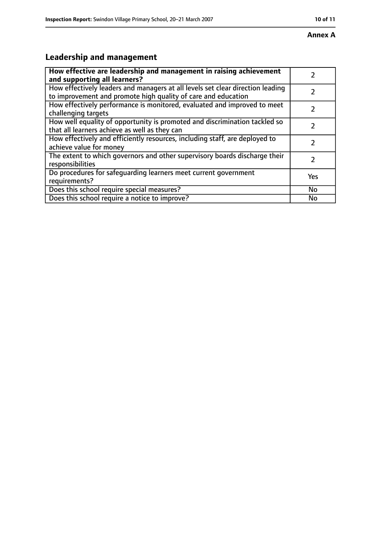#### **Annex A**

# **Leadership and management**

| How effective are leadership and management in raising achievement<br>and supporting all learners?                                              |     |
|-------------------------------------------------------------------------------------------------------------------------------------------------|-----|
| How effectively leaders and managers at all levels set clear direction leading<br>to improvement and promote high quality of care and education |     |
| How effectively performance is monitored, evaluated and improved to meet<br>challenging targets                                                 |     |
| How well equality of opportunity is promoted and discrimination tackled so<br>that all learners achieve as well as they can                     |     |
| How effectively and efficiently resources, including staff, are deployed to<br>achieve value for money                                          | 2   |
| The extent to which governors and other supervisory boards discharge their<br>responsibilities                                                  | 2   |
| Do procedures for safequarding learners meet current government<br>requirements?                                                                | Yes |
| Does this school require special measures?                                                                                                      | No  |
| Does this school require a notice to improve?                                                                                                   | No  |